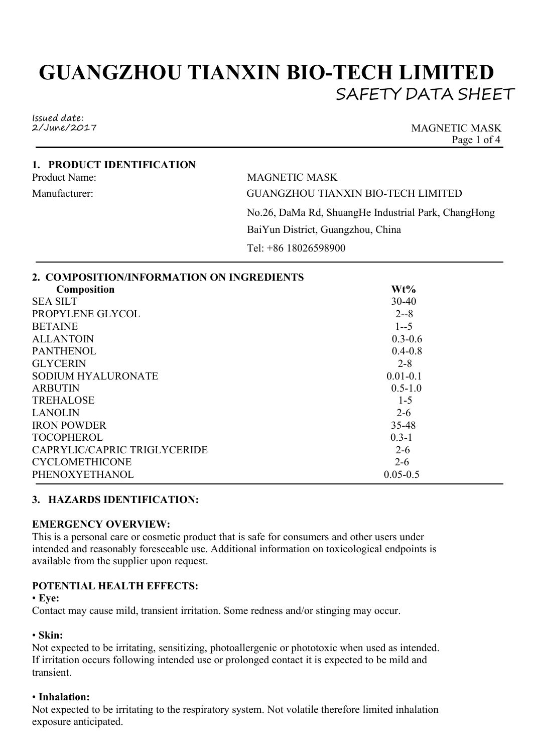# **GUANGZHOU TIANXIN BIO-TECH LIMITED** SAFETY DATA SHEET

Issued date:<br>2/June/2017

MAGNETIC MASK Page 1 of 4

#### **1. PRODUCT IDENTIFICATION** Product Name: MAGNETIC MASK

Manufacturer: GUANGZHOU TIANXIN BIO-TECH LIMITED No.26, DaMa Rd, ShuangHe Industrial Park, ChangHong BaiYun District, Guangzhou, China Tel: +86 18026598900

# **3. HAZARDS IDENTIFICATION:**

### **EMERGENCY OVERVIEW:**

This is a personal care or cosmetic product that is safe for consumers and other users under intended and reasonably foreseeable use. Additional information on toxicological endpoints is available from the supplier upon request.

# **POTENTIAL HEALTH EFFECTS:**

• **Eye:**

Contact may cause mild, transient irritation. Some redness and/or stinging may occur.

### • **Skin:**

Not expected to be irritating, sensitizing, photoallergenic or phototoxic when used as intended. If irritation occurs following intended use or prolonged contact it is expected to be mild and transient.

# • **Inhalation:**

Not expected to be irritating to the respiratory system. Not volatile therefore limited inhalation exposure anticipated.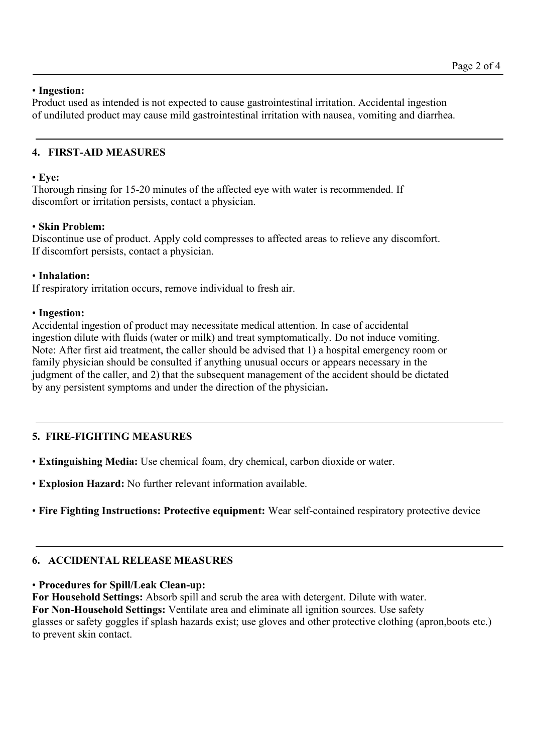## • **Ingestion:**

Product used as intended is not expected to cause gastrointestinal irritation. Accidental ingestion of undiluted product may cause mild gastrointestinal irritation with nausea, vomiting and diarrhea.

## **4. FIRST-AID MEASURES**

### • **Eye:**

Thorough rinsing for 15-20 minutes of the affected eye with water is recommended. If discomfort or irritation persists, contact a physician.

## • **Skin Problem:**

Discontinue use of product. Apply cold compresses to affected areas to relieve any discomfort. If discomfort persists, contact a physician.

## • **Inhalation:**

If respiratory irritation occurs, remove individual to fresh air.

## • **Ingestion:**

Accidental ingestion of product may necessitate medical attention. In case of accidental ingestion dilute with fluids (water or milk) and treat symptomatically. Do not induce vomiting. Note: After first aid treatment, the caller should be advised that 1) a hospital emergency room or family physician should be consulted if anything unusual occurs or appears necessary in the judgment of the caller, and 2) that the subsequent management of the accident should be dictated by any persistent symptoms and under the direction of the physician**.**

# **5. FIRE-FIGHTING MEASURES**

• **Extinguishing Media:** Use chemical foam, dry chemical, carbon dioxide or water.

• **Explosion Hazard:** No further relevant information available.

• **Fire Fighting Instructions: Protective equipment:** Wear self-contained respiratory protective device

# **6. ACCIDENTAL RELEASE MEASURES**

### • **Procedures for Spill/Leak Clean-up:**

**For Household Settings:** Absorb spill and scrub the area with detergent. Dilute with water. **For Non-Household Settings:** Ventilate area and eliminate all ignition sources. Use safety glasses orsafety goggles if splash hazards exist; use gloves and other protective clothing (apron,boots etc.) to prevent skin contact.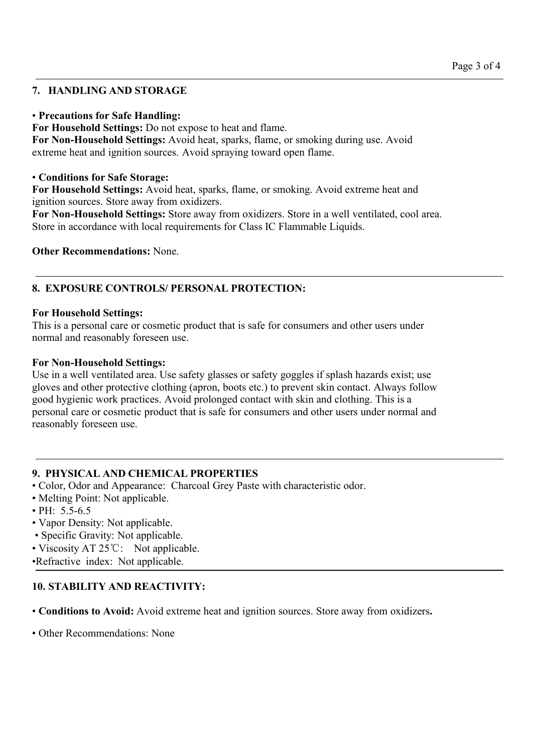## **7. HANDLING AND STORAGE**

#### • **Precautions for Safe Handling:**

**For Household Settings:** Do not expose to heat and flame.

**For Non-Household Settings:** Avoid heat, sparks, flame, or smoking during use. Avoid extreme heat and ignition sources. Avoid spraying toward open flame.

#### • **Conditions for Safe Storage:**

**For Household Settings:** Avoid heat, sparks, flame, or smoking. Avoid extreme heat and ignition sources. Store away from oxidizers.

**For Non-Household Settings:** Store away from oxidizers. Store in a well ventilated, cool area. Store in accordance with local requirements for Class IC Flammable Liquids.

**Other Recommendations:** None.

## **8. EXPOSURE CONTROLS/ PERSONAL PROTECTION:**

#### **For Household Settings:**

This is a personal care or cosmetic product that is safe for consumers and other users under normal and reasonably foreseen use.

#### **For Non-Household Settings:**

Use in a well ventilated area. Use safety glasses or safety goggles if splash hazards exist; use gloves and other protective clothing (apron, boots etc.) to prevent skin contact. Always follow good hygienic work practices. Avoid prolonged contact with skin and clothing. This is a personal care or cosmetic product that is safe for consumers and other users under normal and reasonably foreseen use.

### **9. PHYSICAL AND CHEMICAL PROPERTIES**

- Color, Odor and Appearance: Charcoal Grey Paste with characteristic odor.
- Melting Point: Not applicable.
- PH: 5.5-6.5
- Vapor Density: Not applicable.
- Specific Gravity: Not applicable.
- Viscosity AT 25°C: Not applicable.
- •Refractive index: Not applicable.

# **10. STABILITY AND REACTIVITY:**

• **Conditions to Avoid:**Avoid extreme heat and ignition sources. Store away from oxidizers**.**

• Other Recommendations: None